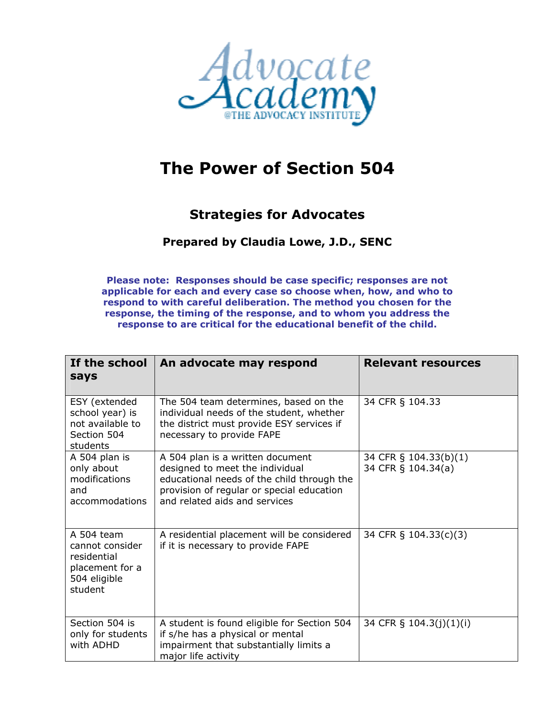

## **The Power of Section 504**

## **Strategies for Advocates**

## **Prepared by Claudia Lowe, J.D., SENC**

**Please note: Responses should be case specific; responses are not applicable for each and every case so choose when, how, and who to respond to with careful deliberation. The method you chosen for the response, the timing of the response, and to whom you address the response to are critical for the educational benefit of the child.** 

| If the school<br>says                                                                      | An advocate may respond                                                                                                                                                                         | <b>Relevant resources</b>                   |
|--------------------------------------------------------------------------------------------|-------------------------------------------------------------------------------------------------------------------------------------------------------------------------------------------------|---------------------------------------------|
| ESY (extended<br>school year) is<br>not available to<br>Section 504<br>students            | The 504 team determines, based on the<br>individual needs of the student, whether<br>the district must provide ESY services if<br>necessary to provide FAPE                                     | 34 CFR § 104.33                             |
| A 504 plan is<br>only about<br>modifications<br>and<br>accommodations                      | A 504 plan is a written document<br>designed to meet the individual<br>educational needs of the child through the<br>provision of regular or special education<br>and related aids and services | 34 CFR § 104.33(b)(1)<br>34 CFR § 104.34(a) |
| A 504 team<br>cannot consider<br>residential<br>placement for a<br>504 eligible<br>student | A residential placement will be considered<br>if it is necessary to provide FAPE                                                                                                                | 34 CFR § 104.33(c)(3)                       |
| Section 504 is<br>only for students<br>with ADHD                                           | A student is found eligible for Section 504<br>if s/he has a physical or mental<br>impairment that substantially limits a<br>major life activity                                                | 34 CFR § 104.3(j)(1)(i)                     |